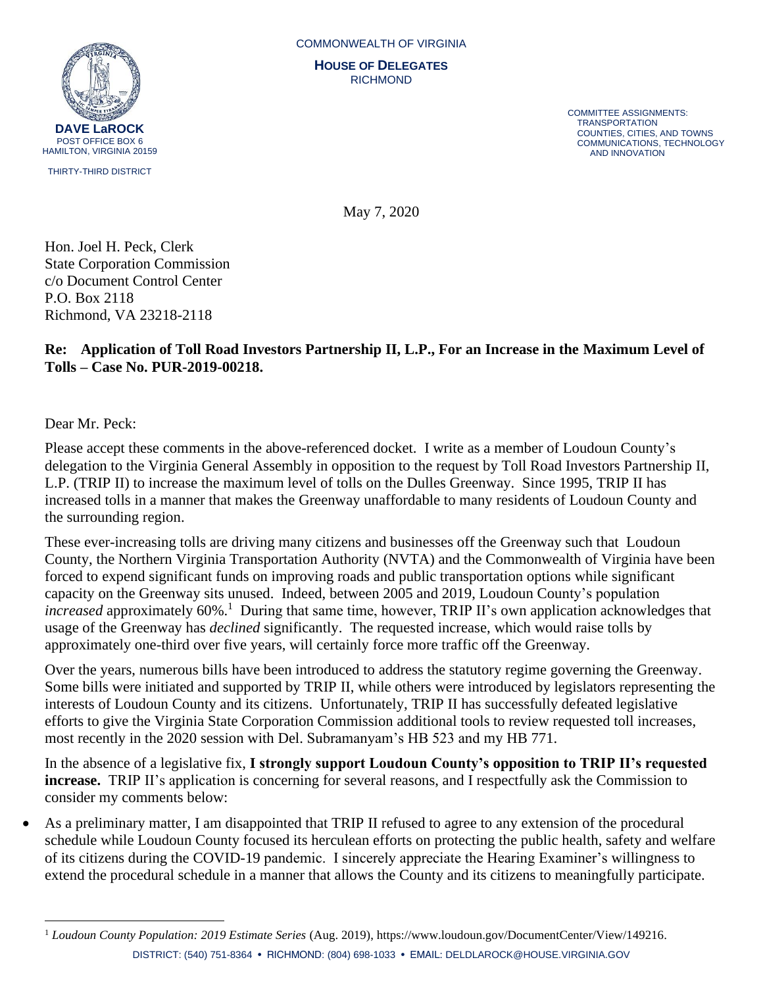**HOUSE OF DELEGATES** RICHMOND

> COMMUNICATIONS, TECHNOLOGY COMMITTEE ASSIGNMENTS: **TRANSPORTATION**  COUNTIES, CITIES, AND TOWNS AND INNOVATION

May 7, 2020

Hon. Joel H. Peck, Clerk State Corporation Commission c/o Document Control Center P.O. Box 2118 Richmond, VA 23218-2118

## **Re: Application of Toll Road Investors Partnership II, L.P., For an Increase in the Maximum Level of Tolls – Case No. PUR-2019-00218.**

Dear Mr. Peck:

Please accept these comments in the above-referenced docket. I write as a member of Loudoun County's delegation to the Virginia General Assembly in opposition to the request by Toll Road Investors Partnership II, L.P. (TRIP II) to increase the maximum level of tolls on the Dulles Greenway. Since 1995, TRIP II has increased tolls in a manner that makes the Greenway unaffordable to many residents of Loudoun County and the surrounding region.

These ever-increasing tolls are driving many citizens and businesses off the Greenway such that Loudoun County, the Northern Virginia Transportation Authority (NVTA) and the Commonwealth of Virginia have been forced to expend significant funds on improving roads and public transportation options while significant capacity on the Greenway sits unused. Indeed, between 2005 and 2019, Loudoun County's population increased approximately 60%.<sup>1</sup> During that same time, however, TRIP II's own application acknowledges that usage of the Greenway has *declined* significantly. The requested increase, which would raise tolls by approximately one-third over five years, will certainly force more traffic off the Greenway.

Over the years, numerous bills have been introduced to address the statutory regime governing the Greenway. Some bills were initiated and supported by TRIP II, while others were introduced by legislators representing the interests of Loudoun County and its citizens. Unfortunately, TRIP II has successfully defeated legislative efforts to give the Virginia State Corporation Commission additional tools to review requested toll increases, most recently in the 2020 session with Del. Subramanyam's HB 523 and my HB 771.

In the absence of a legislative fix, **I strongly support Loudoun County's opposition to TRIP II's requested increase.** TRIP II's application is concerning for several reasons, and I respectfully ask the Commission to consider my comments below:

• As a preliminary matter, I am disappointed that TRIP II refused to agree to any extension of the procedural schedule while Loudoun County focused its herculean efforts on protecting the public health, safety and welfare of its citizens during the COVID-19 pandemic. I sincerely appreciate the Hearing Examiner's willingness to extend the procedural schedule in a manner that allows the County and its citizens to meaningfully participate.

DISTRICT: (540) 751-8364 • RICHMOND: (804) 698-1033 • EMAIL: DELDLAROCK@HOUSE.VIRGINIA.GOV <sup>1</sup> *Loudoun County Population: 2019 Estimate Series* (Aug. 2019), https://www.loudoun.gov/DocumentCenter/View/149216.